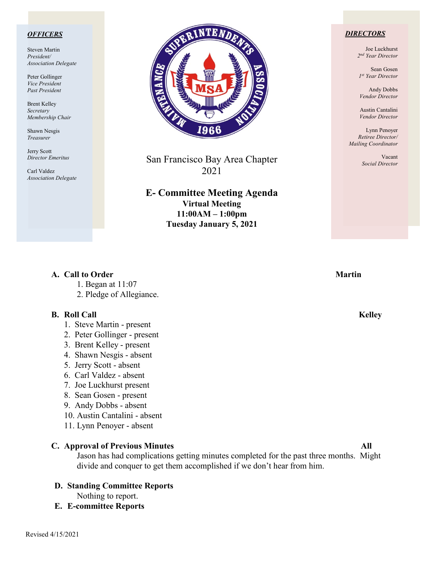### *OFFICERS*

Steven Martin *President/ Association Delegate*

Peter Gollinger *Vice President Past President*

Brent Kelley *Secretary Membership Chair*

Shawn Nesgis *Treasurer*

Jerry Scott *Director Emeritus*

Carl Valdez *Association Delegate*



San Francisco Bay Area Chapter 2021

**E- Committee Meeting Agenda Virtual Meeting 11:00AM – 1:00pm Tuesday January 5, 2021**

### *DIRECTORS*

Joe Luckhurst *2nd Year Director*

Sean Gosen *1st Year Director*

Andy Dobbs *Vendor Director*

Austin Cantalini *Vendor Director*

Lynn Penoyer *Retiree Director/ Mailing Coordinator*

> Vacant *Social Director*

### **A.** Call to Order Martin **Martin**

- 1. Began at 11:07
- 2. Pledge of Allegiance.

### **B. Roll Call Kelley**

- 1. Steve Martin present
- 2. Peter Gollinger present
- 3. Brent Kelley present
- 4. Shawn Nesgis absent
- 5. Jerry Scott absent
- 6. Carl Valdez absent
- 7. Joe Luckhurst present
- 8. Sean Gosen present
- 9. Andy Dobbs absent
- 10. Austin Cantalini absent
- 11. Lynn Penoyer absent

### **C. Approval of Previous Minutes** All

Jason has had complications getting minutes completed for the past three months. Might divide and conquer to get them accomplished if we don't hear from him.

# **D. Standing Committee Reports**

Nothing to report.

**E. E-committee Reports**

Revised 4/15/2021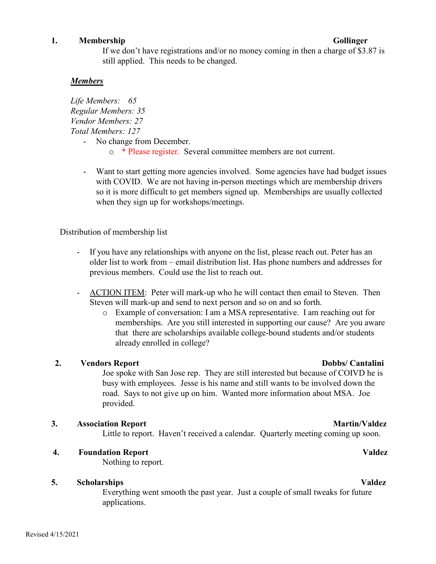### **1. Membership Gollinger**

# If we don't have registrations and/or no money coming in then a charge of \$3.87 is still applied. This needs to be changed.

# *Members*

*Life Members: 65 Regular Members: 35 Vendor Members: 27 Total Members: 127*  - No change from December.

- o \* Please register. Several committee members are not current.
- Want to start getting more agencies involved. Some agencies have had budget issues with COVID. We are not having in-person meetings which are membership drivers so it is more difficult to get members signed up. Memberships are usually collected when they sign up for workshops/meetings.

Distribution of membership list

- If you have any relationships with anyone on the list, please reach out. Peter has an older list to work from – email distribution list. Has phone numbers and addresses for previous members. Could use the list to reach out.
- ACTION ITEM: Peter will mark-up who he will contact then email to Steven. Then Steven will mark-up and send to next person and so on and so forth.
	- o Example of conversation: I am a MSA representative. I am reaching out for memberships. Are you still interested in supporting our cause? Are you aware that there are scholarships available college-bound students and/or students already enrolled in college?

## **2. Vendors Report Dobbs/ Cantalini**

Joe spoke with San Jose rep. They are still interested but because of COIVD he is busy with employees. Jesse is his name and still wants to be involved down the road. Says to not give up on him. Wanted more information about MSA. Joe provided.

## **3. Association Report** Martin/Valdez

Little to report. Haven't received a calendar. Quarterly meeting coming up soon.

## **4. Foundation Report Valdez**

Nothing to report.

## **5. Scholarships Valdez**

Everything went smooth the past year. Just a couple of small tweaks for future applications.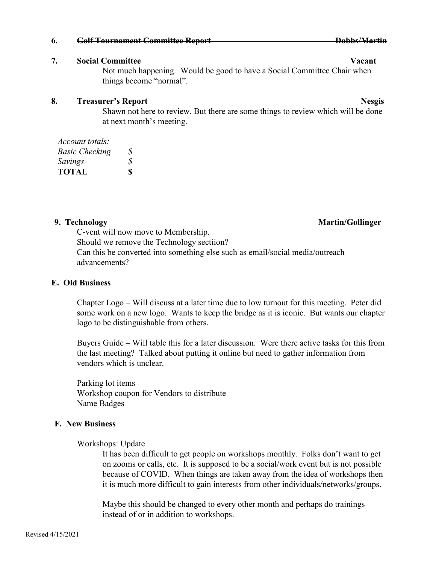### **6. Golf Tournament Committee Report Dobbs/Martin**

### **7. Social Committee Vacant**

Not much happening. Would be good to have a Social Committee Chair when things become "normal".

### **8.** Treasurer's Report **Ness** is a set of the set of the set of the set of the set of the set of the set of the set of the set of the set of the set of the set of the set of the set of the set of the set of the set of the

Shawn not here to review. But there are some things to review which will be done at next month's meeting.

| Account totals:       |    |
|-----------------------|----|
| <b>Basic Checking</b> | S. |
| Savings               | S  |
| <b>TOTAL</b>          | \$ |

C-vent will now move to Membership. Should we remove the Technology sectiion? Can this be converted into something else such as email/social media/outreach advancements?

### **E. Old Business**

Chapter Logo – Will discuss at a later time due to low turnout for this meeting. Peter did some work on a new logo. Wants to keep the bridge as it is iconic. But wants our chapter logo to be distinguishable from others.

Buyers Guide – Will table this for a later discussion. Were there active tasks for this from the last meeting? Talked about putting it online but need to gather information from vendors which is unclear.

Parking lot items Workshop coupon for Vendors to distribute Name Badges

## **F. New Business**

Workshops: Update

It has been difficult to get people on workshops monthly. Folks don't want to get on zooms or calls, etc. It is supposed to be a social/work event but is not possible because of COVID. When things are taken away from the idea of workshops then it is much more difficult to gain interests from other individuals/networks/groups.

Maybe this should be changed to every other month and perhaps do trainings instead of or in addition to workshops.

## **9. Technology Martin/Gollinger**